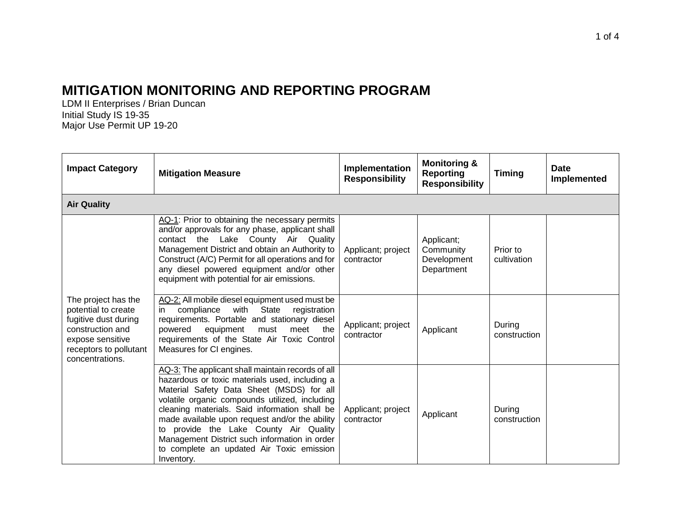## **MITIGATION MONITORING AND REPORTING PROGRAM**

LDM II Enterprises / Brian Duncan Initial Study IS 19-35 Major Use Permit UP 19-20

| <b>Impact Category</b>                                                                                                                                  | <b>Mitigation Measure</b>                                                                                                                                                                                                                                                                                                                                                                                                                                   | Implementation<br><b>Responsibility</b> | <b>Monitoring &amp;</b><br><b>Reporting</b><br><b>Responsibility</b> | <b>Timing</b>           | <b>Date</b><br>Implemented |  |
|---------------------------------------------------------------------------------------------------------------------------------------------------------|-------------------------------------------------------------------------------------------------------------------------------------------------------------------------------------------------------------------------------------------------------------------------------------------------------------------------------------------------------------------------------------------------------------------------------------------------------------|-----------------------------------------|----------------------------------------------------------------------|-------------------------|----------------------------|--|
| <b>Air Quality</b>                                                                                                                                      |                                                                                                                                                                                                                                                                                                                                                                                                                                                             |                                         |                                                                      |                         |                            |  |
| The project has the<br>potential to create<br>fugitive dust during<br>construction and<br>expose sensitive<br>receptors to pollutant<br>concentrations. | AQ-1: Prior to obtaining the necessary permits<br>and/or approvals for any phase, applicant shall<br>contact the Lake County Air Quality<br>Management District and obtain an Authority to<br>Construct (A/C) Permit for all operations and for<br>any diesel powered equipment and/or other<br>equipment with potential for air emissions.                                                                                                                 | Applicant; project<br>contractor        | Applicant;<br>Community<br>Development<br>Department                 | Prior to<br>cultivation |                            |  |
|                                                                                                                                                         | AQ-2: All mobile diesel equipment used must be<br>compliance with State registration<br>in<br>requirements. Portable and stationary diesel<br>equipment<br>powered<br>must<br>meet<br>the<br>requirements of the State Air Toxic Control<br>Measures for CI engines.                                                                                                                                                                                        | Applicant; project<br>contractor        | Applicant                                                            | During<br>construction  |                            |  |
|                                                                                                                                                         | AQ-3: The applicant shall maintain records of all<br>hazardous or toxic materials used, including a<br>Material Safety Data Sheet (MSDS) for all<br>volatile organic compounds utilized, including<br>cleaning materials. Said information shall be<br>made available upon request and/or the ability<br>to provide the Lake County Air Quality<br>Management District such information in order<br>to complete an updated Air Toxic emission<br>Inventory. | Applicant; project<br>contractor        | Applicant                                                            | During<br>construction  |                            |  |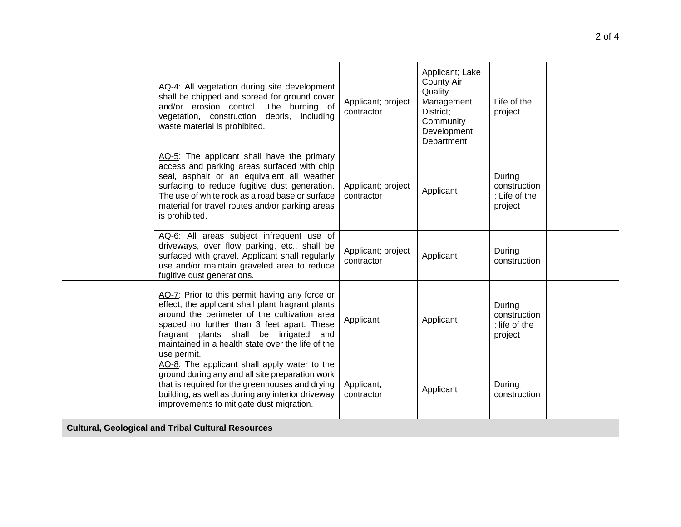|                                                           | AQ-4: All vegetation during site development<br>shall be chipped and spread for ground cover<br>and/or erosion control. The burning of<br>vegetation, construction debris, including<br>waste material is prohibited.                                                                                              | Applicant; project<br>contractor | Applicant; Lake<br><b>County Air</b><br>Quality<br>Management<br>District:<br>Community<br>Development<br>Department | Life of the<br>project                             |  |
|-----------------------------------------------------------|--------------------------------------------------------------------------------------------------------------------------------------------------------------------------------------------------------------------------------------------------------------------------------------------------------------------|----------------------------------|----------------------------------------------------------------------------------------------------------------------|----------------------------------------------------|--|
|                                                           | AQ-5: The applicant shall have the primary<br>access and parking areas surfaced with chip<br>seal, asphalt or an equivalent all weather<br>surfacing to reduce fugitive dust generation.<br>The use of white rock as a road base or surface<br>material for travel routes and/or parking areas<br>is prohibited.   | Applicant; project<br>contractor | Applicant                                                                                                            | During<br>construction<br>: Life of the<br>project |  |
|                                                           | AQ-6: All areas subject infrequent use of<br>driveways, over flow parking, etc., shall be<br>surfaced with gravel. Applicant shall regularly<br>use and/or maintain graveled area to reduce<br>fugitive dust generations.                                                                                          | Applicant; project<br>contractor | Applicant                                                                                                            | During<br>construction                             |  |
|                                                           | AQ-7: Prior to this permit having any force or<br>effect, the applicant shall plant fragrant plants<br>around the perimeter of the cultivation area<br>spaced no further than 3 feet apart. These<br>fragrant plants shall be irrigated<br>and<br>maintained in a health state over the life of the<br>use permit. | Applicant                        | Applicant                                                                                                            | During<br>construction<br>; life of the<br>project |  |
|                                                           | AQ-8: The applicant shall apply water to the<br>ground during any and all site preparation work<br>that is required for the greenhouses and drying<br>building, as well as during any interior driveway<br>improvements to mitigate dust migration.                                                                | Applicant,<br>contractor         | Applicant                                                                                                            | During<br>construction                             |  |
| <b>Cultural, Geological and Tribal Cultural Resources</b> |                                                                                                                                                                                                                                                                                                                    |                                  |                                                                                                                      |                                                    |  |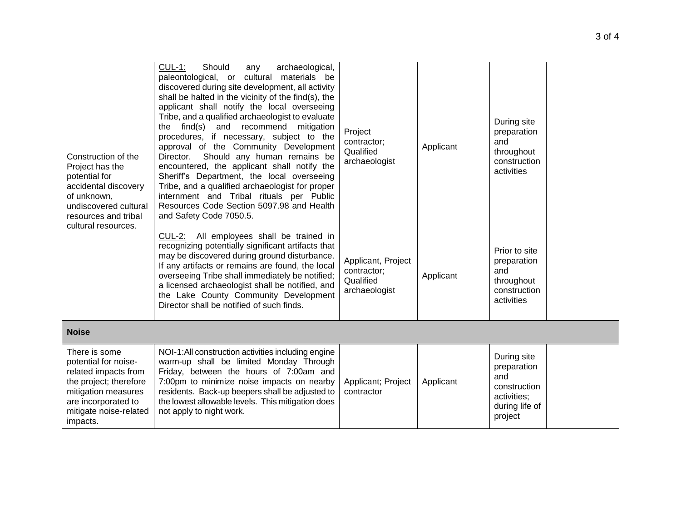| Construction of the<br>Project has the<br>potential for<br>accidental discovery<br>of unknown,<br>undiscovered cultural<br>resources and tribal<br>cultural resources.      | $CUL-1$ :<br>archaeological,<br>Should<br>any<br>paleontological, or cultural materials be<br>discovered during site development, all activity<br>shall be halted in the vicinity of the find(s), the<br>applicant shall notify the local overseeing<br>Tribe, and a qualified archaeologist to evaluate<br>the find(s) and recommend mitigation<br>procedures, if necessary, subject to the<br>approval of the Community Development<br>Director. Should any human remains be<br>encountered, the applicant shall notify the<br>Sheriff's Department, the local overseeing<br>Tribe, and a qualified archaeologist for proper<br>internment and Tribal rituals per Public<br>Resources Code Section 5097.98 and Health<br>and Safety Code 7050.5. | Project<br>contractor;<br>Qualified<br>archaeologist            | Applicant | During site<br>preparation<br>and<br>throughout<br>construction<br>activities                 |  |
|-----------------------------------------------------------------------------------------------------------------------------------------------------------------------------|----------------------------------------------------------------------------------------------------------------------------------------------------------------------------------------------------------------------------------------------------------------------------------------------------------------------------------------------------------------------------------------------------------------------------------------------------------------------------------------------------------------------------------------------------------------------------------------------------------------------------------------------------------------------------------------------------------------------------------------------------|-----------------------------------------------------------------|-----------|-----------------------------------------------------------------------------------------------|--|
|                                                                                                                                                                             | CUL-2: All employees shall be trained in<br>recognizing potentially significant artifacts that<br>may be discovered during ground disturbance.<br>If any artifacts or remains are found, the local<br>overseeing Tribe shall immediately be notified;<br>a licensed archaeologist shall be notified, and<br>the Lake County Community Development<br>Director shall be notified of such finds.                                                                                                                                                                                                                                                                                                                                                     | Applicant, Project<br>contractor;<br>Qualified<br>archaeologist | Applicant | Prior to site<br>preparation<br>and<br>throughout<br>construction<br>activities               |  |
| <b>Noise</b>                                                                                                                                                                |                                                                                                                                                                                                                                                                                                                                                                                                                                                                                                                                                                                                                                                                                                                                                    |                                                                 |           |                                                                                               |  |
| There is some<br>potential for noise-<br>related impacts from<br>the project; therefore<br>mitigation measures<br>are incorporated to<br>mitigate noise-related<br>impacts. | NOI-1:All construction activities including engine<br>warm-up shall be limited Monday Through<br>Friday, between the hours of 7:00am and<br>7:00pm to minimize noise impacts on nearby<br>residents. Back-up beepers shall be adjusted to<br>the lowest allowable levels. This mitigation does<br>not apply to night work.                                                                                                                                                                                                                                                                                                                                                                                                                         | Applicant; Project<br>contractor                                | Applicant | During site<br>preparation<br>and<br>construction<br>activities;<br>during life of<br>project |  |